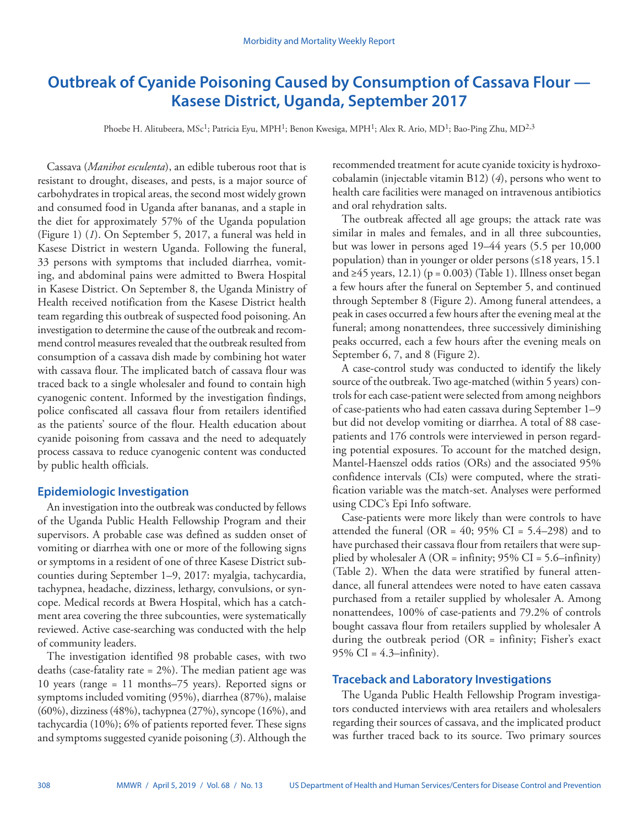# **Outbreak of Cyanide Poisoning Caused by Consumption of Cassava Flour — Kasese District, Uganda, September 2017**

Phoebe H. Alitubeera, MSc<sup>1</sup>; Patricia Eyu, MPH<sup>1</sup>; Benon Kwesiga, MPH<sup>1</sup>; Alex R. Ario, MD<sup>1</sup>; Bao-Ping Zhu, MD<sup>2,3</sup>

Cassava (*Manihot esculenta*), an edible tuberous root that is resistant to drought, diseases, and pests, is a major source of carbohydrates in tropical areas, the second most widely grown and consumed food in Uganda after bananas, and a staple in the diet for approximately 57% of the Uganda population (Figure 1) (*1*). On September 5, 2017, a funeral was held in Kasese District in western Uganda. Following the funeral, 33 persons with symptoms that included diarrhea, vomiting, and abdominal pains were admitted to Bwera Hospital in Kasese District. On September 8, the Uganda Ministry of Health received notification from the Kasese District health team regarding this outbreak of suspected food poisoning. An investigation to determine the cause of the outbreak and recommend control measures revealed that the outbreak resulted from consumption of a cassava dish made by combining hot water with cassava flour. The implicated batch of cassava flour was traced back to a single wholesaler and found to contain high cyanogenic content. Informed by the investigation findings, police confiscated all cassava flour from retailers identified as the patients' source of the flour. Health education about cyanide poisoning from cassava and the need to adequately process cassava to reduce cyanogenic content was conducted by public health officials.

## **Epidemiologic Investigation**

An investigation into the outbreak was conducted by fellows of the Uganda Public Health Fellowship Program and their supervisors. A probable case was defined as sudden onset of vomiting or diarrhea with one or more of the following signs or symptoms in a resident of one of three Kasese District subcounties during September 1–9, 2017: myalgia, tachycardia, tachypnea, headache, dizziness, lethargy, convulsions, or syncope. Medical records at Bwera Hospital, which has a catchment area covering the three subcounties, were systematically reviewed. Active case-searching was conducted with the help of community leaders.

The investigation identified 98 probable cases, with two deaths (case-fatality rate  $= 2\%$ ). The median patient age was 10 years (range = 11 months–75 years). Reported signs or symptoms included vomiting (95%), diarrhea (87%), malaise (60%), dizziness (48%), tachypnea (27%), syncope (16%), and tachycardia (10%); 6% of patients reported fever. These signs and symptoms suggested cyanide poisoning (*3*). Although the

recommended treatment for acute cyanide toxicity is hydroxocobalamin (injectable vitamin B12) (*4*), persons who went to health care facilities were managed on intravenous antibiotics and oral rehydration salts.

The outbreak affected all age groups; the attack rate was similar in males and females, and in all three subcounties, but was lower in persons aged 19–44 years (5.5 per 10,000 population) than in younger or older persons (≤18 years, 15.1 and  $\geq$ 45 years, 12.1) (p = 0.003) (Table 1). Illness onset began a few hours after the funeral on September 5, and continued through September 8 (Figure 2). Among funeral attendees, a peak in cases occurred a few hours after the evening meal at the funeral; among nonattendees, three successively diminishing peaks occurred, each a few hours after the evening meals on September 6, 7, and 8 (Figure 2).

A case-control study was conducted to identify the likely source of the outbreak. Two age-matched (within 5 years) controls for each case-patient were selected from among neighbors of case-patients who had eaten cassava during September 1–9 but did not develop vomiting or diarrhea. A total of 88 casepatients and 176 controls were interviewed in person regarding potential exposures. To account for the matched design, Mantel-Haenszel odds ratios (ORs) and the associated 95% confidence intervals (CIs) were computed, where the stratification variable was the match-set. Analyses were performed using CDC's Epi Info software.

Case-patients were more likely than were controls to have attended the funeral (OR =  $40$ ; 95% CI =  $5.4-298$ ) and to have purchased their cassava flour from retailers that were supplied by wholesaler  $A (OR = \text{infinity}; 95\% CI = 5.6-\text{infinity})$ (Table 2). When the data were stratified by funeral attendance, all funeral attendees were noted to have eaten cassava purchased from a retailer supplied by wholesaler A. Among nonattendees, 100% of case-patients and 79.2% of controls bought cassava flour from retailers supplied by wholesaler A during the outbreak period  $(OR = \text{infinity}; \text{ Fisher's exact})$ 95% CI =  $4.3$ -infinity).

## **Traceback and Laboratory Investigations**

The Uganda Public Health Fellowship Program investigators conducted interviews with area retailers and wholesalers regarding their sources of cassava, and the implicated product was further traced back to its source. Two primary sources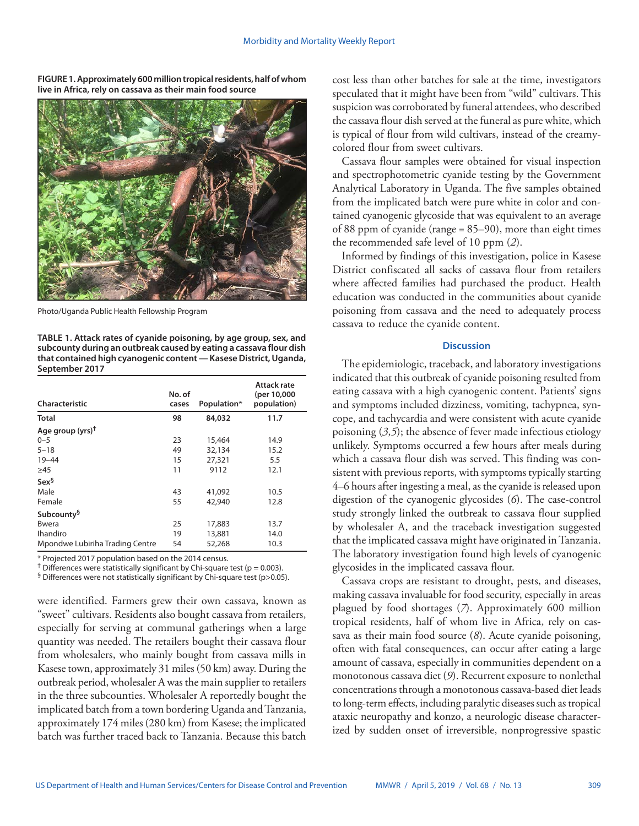**FIGURE 1. Approximately 600 million tropical residents, half of whom live in Africa, rely on cassava as their main food source**



Photo/Uganda Public Health Fellowship Program

**TABLE 1. Attack rates of cyanide poisoning, by age group, sex, and subcounty during an outbreak caused by eating a cassava flour dish that contained high cyanogenic content — Kasese District, Uganda, September 2017**

| Characteristic                  | No. of<br>cases | Population* | Attack rate<br>(per 10,000<br>population) |
|---------------------------------|-----------------|-------------|-------------------------------------------|
| <b>Total</b>                    | 98              | 84,032      | 11.7                                      |
| Age group $(yrs)^{\dagger}$     |                 |             |                                           |
| $0 - 5$                         | 23              | 15,464      | 14.9                                      |
| $5 - 18$                        | 49              | 32,134      | 15.2                                      |
| $19 - 44$                       | 15              | 27,321      | 5.5                                       |
| $\geq 45$                       | 11              | 9112        | 12.1                                      |
| Sex§                            |                 |             |                                           |
| Male                            | 43              | 41,092      | 10.5                                      |
| Female                          | 55              | 42,940      | 12.8                                      |
| Subcounty <sup>§</sup>          |                 |             |                                           |
| Bwera                           | 25              | 17,883      | 13.7                                      |
| <b>Ihandiro</b>                 | 19              | 13,881      | 14.0                                      |
| Mpondwe Lubiriha Trading Centre | 54              | 52,268      | 10.3                                      |

\* Projected 2017 population based on the 2014 census.

<sup>†</sup> Differences were statistically significant by Chi-square test (p = 0.003).

 $\frac{1}{2}$  Differences were not statistically significant by Chi-square test (p>0.05).

were identified. Farmers grew their own cassava, known as "sweet" cultivars. Residents also bought cassava from retailers, especially for serving at communal gatherings when a large quantity was needed. The retailers bought their cassava flour from wholesalers, who mainly bought from cassava mills in Kasese town, approximately 31 miles (50 km) away. During the outbreak period, wholesaler A was the main supplier to retailers in the three subcounties. Wholesaler A reportedly bought the implicated batch from a town bordering Uganda and Tanzania, approximately 174 miles (280 km) from Kasese; the implicated batch was further traced back to Tanzania. Because this batch cost less than other batches for sale at the time, investigators speculated that it might have been from "wild" cultivars. This suspicion was corroborated by funeral attendees, who described the cassava flour dish served at the funeral as pure white, which is typical of flour from wild cultivars, instead of the creamycolored flour from sweet cultivars.

Cassava flour samples were obtained for visual inspection and spectrophotometric cyanide testing by the Government Analytical Laboratory in Uganda. The five samples obtained from the implicated batch were pure white in color and contained cyanogenic glycoside that was equivalent to an average of 88 ppm of cyanide (range = 85–90), more than eight times the recommended safe level of 10 ppm (*2*).

Informed by findings of this investigation, police in Kasese District confiscated all sacks of cassava flour from retailers where affected families had purchased the product. Health education was conducted in the communities about cyanide poisoning from cassava and the need to adequately process cassava to reduce the cyanide content.

## **Discussion**

The epidemiologic, traceback, and laboratory investigations indicated that this outbreak of cyanide poisoning resulted from eating cassava with a high cyanogenic content. Patients' signs and symptoms included dizziness, vomiting, tachypnea, syncope, and tachycardia and were consistent with acute cyanide poisoning (*3*,*5*); the absence of fever made infectious etiology unlikely. Symptoms occurred a few hours after meals during which a cassava flour dish was served. This finding was consistent with previous reports, with symptoms typically starting 4–6 hours after ingesting a meal, as the cyanide is released upon digestion of the cyanogenic glycosides (*6*). The case-control study strongly linked the outbreak to cassava flour supplied by wholesaler A, and the traceback investigation suggested that the implicated cassava might have originated in Tanzania. The laboratory investigation found high levels of cyanogenic glycosides in the implicated cassava flour.

Cassava crops are resistant to drought, pests, and diseases, making cassava invaluable for food security, especially in areas plagued by food shortages (*7*). Approximately 600 million tropical residents, half of whom live in Africa, rely on cassava as their main food source (*8*). Acute cyanide poisoning, often with fatal consequences, can occur after eating a large amount of cassava, especially in communities dependent on a monotonous cassava diet (*9*). Recurrent exposure to nonlethal concentrations through a monotonous cassava-based diet leads to long-term effects, including paralytic diseases such as tropical ataxic neuropathy and konzo, a neurologic disease characterized by sudden onset of irreversible, nonprogressive spastic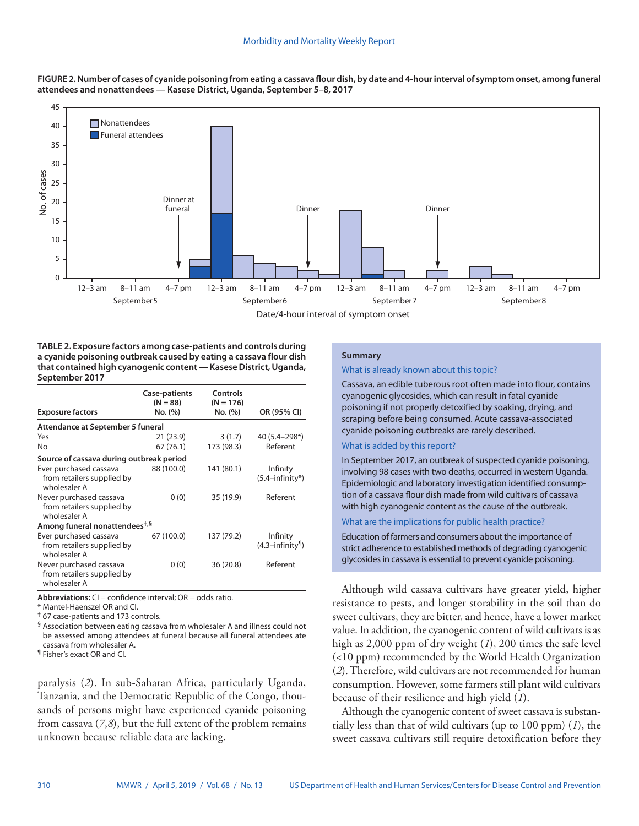

**FIGURE 2. Number of cases of cyanide poisoning from eating a cassava flour dish, by date and 4-hour interval of symptom onset, among funeral attendees and nonattendees — Kasese District, Uganda, September 5–8, 2017**

**TABLE 2. Exposure factors among case-patients and controls during a cyanide poisoning outbreak caused by eating a cassava flour dish that contained high cyanogenic content — Kasese District, Uganda, September 2017**

| <b>Exposure factors</b>                                               | <b>Case-patients</b><br>$(N = 88)$<br>No. (%) | Controls<br>$(N = 176)$<br>No. (%) | OR (95% CI)                                |  |
|-----------------------------------------------------------------------|-----------------------------------------------|------------------------------------|--------------------------------------------|--|
|                                                                       |                                               |                                    |                                            |  |
| Attendance at September 5 funeral                                     |                                               |                                    |                                            |  |
| Yes                                                                   | 21 (23.9)                                     | 3(1.7)                             | 40 (5.4–298*)                              |  |
| No                                                                    | 67 (76.1)                                     | 173 (98.3)                         | Referent                                   |  |
| Source of cassava during outbreak period                              |                                               |                                    |                                            |  |
| Ever purchased cassava<br>from retailers supplied by<br>wholesaler A  | 88 (100.0)                                    | 141 (80.1)                         | Infinity<br>$(5.4 - infinity^*)$           |  |
| Never purchased cassava<br>from retailers supplied by<br>wholesaler A | 0(0)                                          | 35 (19.9)                          | Referent                                   |  |
| Among funeral nonattendees <sup>t,§</sup>                             |                                               |                                    |                                            |  |
| Ever purchased cassava<br>from retailers supplied by<br>wholesaler A  | 67 (100.0)                                    | 137 (79.2)                         | Infinity<br>$(4.3 - infinity^{\parallel})$ |  |
| Never purchased cassava<br>from retailers supplied by<br>wholesaler A | 0(0)                                          | 36(20.8)                           | Referent                                   |  |

**Abbreviations:** CI = confidence interval; OR = odds ratio.

\* Mantel-Haenszel OR and CI.

† 67 case-patients and 173 controls.

§ Association between eating cassava from wholesaler A and illness could not be assessed among attendees at funeral because all funeral attendees ate cassava from wholesaler A.

¶ Fisher's exact OR and CI.

paralysis (*2*). In sub-Saharan Africa, particularly Uganda, Tanzania, and the Democratic Republic of the Congo, thousands of persons might have experienced cyanide poisoning from cassava (*7*,*8*), but the full extent of the problem remains unknown because reliable data are lacking.

#### **Summary**

#### What is already known about this topic?

Cassava, an edible tuberous root often made into flour, contains cyanogenic glycosides, which can result in fatal cyanide poisoning if not properly detoxified by soaking, drying, and scraping before being consumed. Acute cassava-associated cyanide poisoning outbreaks are rarely described.

#### What is added by this report?

In September 2017, an outbreak of suspected cyanide poisoning, involving 98 cases with two deaths, occurred in western Uganda. Epidemiologic and laboratory investigation identified consumption of a cassava flour dish made from wild cultivars of cassava with high cyanogenic content as the cause of the outbreak.

## What are the implications for public health practice?

Education of farmers and consumers about the importance of strict adherence to established methods of degrading cyanogenic glycosides in cassava is essential to prevent cyanide poisoning.

Although wild cassava cultivars have greater yield, higher resistance to pests, and longer storability in the soil than do sweet cultivars, they are bitter, and hence, have a lower market value. In addition, the cyanogenic content of wild cultivars is as high as 2,000 ppm of dry weight (*1*), 200 times the safe level (<10 ppm) recommended by the World Health Organization (*2*). Therefore, wild cultivars are not recommended for human consumption. However, some farmers still plant wild cultivars because of their resilience and high yield (*1*).

Although the cyanogenic content of sweet cassava is substantially less than that of wild cultivars (up to 100 ppm) (*1*), the sweet cassava cultivars still require detoxification before they